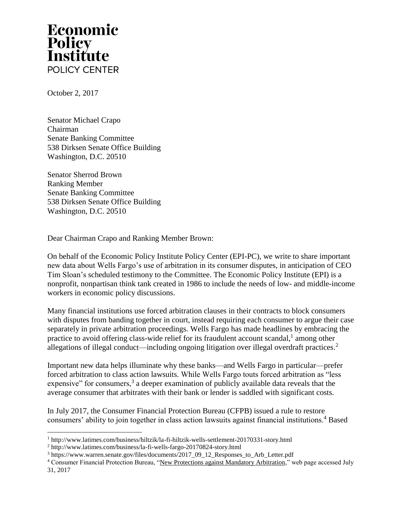## Economic Policy<br>Institute POLICY CENTER

October 2, 2017

Senator Michael Crapo Chairman Senate Banking Committee 538 Dirksen Senate Office Building Washington, D.C. 20510

Senator Sherrod Brown Ranking Member Senate Banking Committee 538 Dirksen Senate Office Building Washington, D.C. 20510

Dear Chairman Crapo and Ranking Member Brown:

On behalf of the Economic Policy Institute Policy Center (EPI-PC), we write to share important new data about Wells Fargo's use of arbitration in its consumer disputes, in anticipation of CEO Tim Sloan's scheduled testimony to the Committee. The Economic Policy Institute (EPI) is a nonprofit, nonpartisan think tank created in 1986 to include the needs of low- and middle-income workers in economic policy discussions.

Many financial institutions use forced arbitration clauses in their contracts to block consumers with disputes from banding together in court, instead requiring each consumer to argue their case separately in private arbitration proceedings. Wells Fargo has made headlines by embracing the practice to avoid offering class-wide relief for its fraudulent account scandal,<sup>1</sup> among other allegations of illegal conduct—including ongoing litigation over illegal overdraft practices.<sup>2</sup>

Important new data helps illuminate why these banks—and Wells Fargo in particular—prefer forced arbitration to class action lawsuits. While Wells Fargo touts forced arbitration as "less expensive" for consumers,  $3$  a deeper examination of publicly available data reveals that the average consumer that arbitrates with their bank or lender is saddled with significant costs.

In July 2017, the Consumer Financial Protection Bureau (CFPB) issued a rule to restore consumers' ability to join together in class action lawsuits against financial institutions.<sup>4</sup> Based

 $\overline{a}$ <sup>1</sup> http://www.latimes.com/business/hiltzik/la-fi-hiltzik-wells-settlement-20170331-story.html

<sup>2</sup> http://www.latimes.com/business/la-fi-wells-fargo-20170824-story.html

<sup>&</sup>lt;sup>3</sup> https://www.warren.senate.gov/files/documents/2017\_09\_12\_Responses\_to\_Arb\_Letter.pdf

<sup>4</sup> Consumer Financial Protection Bureau, ["New Protections against Mandatory Arbitration,](https://www.consumerfinance.gov/arbitration-rule/)" web page accessed July 31, 2017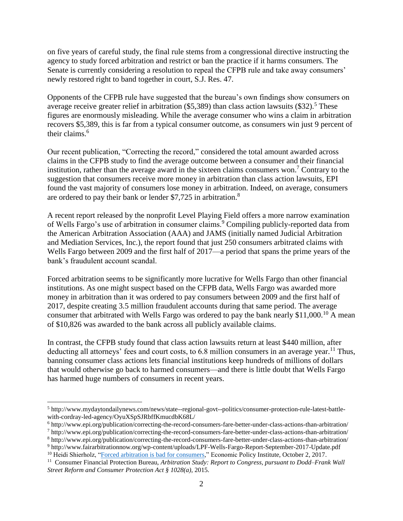on five years of careful study, the final rule stems from a congressional directive instructing the agency to study forced arbitration and restrict or ban the practice if it harms consumers. The Senate is currently considering a resolution to repeal the CFPB rule and take away consumers' newly restored right to band together in court, S.J. Res. 47.

Opponents of the CFPB rule have suggested that the bureau's own findings show consumers on average receive greater relief in arbitration (\$5,389) than class action lawsuits (\$32).<sup>5</sup> These figures are enormously misleading. While the average consumer who wins a claim in arbitration recovers \$5,389, this is far from a typical consumer outcome, as consumers win just 9 percent of their claims.<sup>6</sup>

Our recent publication, "Correcting the record," considered the total amount awarded across claims in the CFPB study to find the average outcome between a consumer and their financial institution, rather than the average award in the sixteen claims consumers won.<sup>7</sup> Contrary to the suggestion that consumers receive more money in arbitration than class action lawsuits, EPI found the vast majority of consumers lose money in arbitration. Indeed, on average, consumers are ordered to pay their bank or lender \$7,725 in arbitration.<sup>8</sup>

A recent report released by the nonprofit Level Playing Field offers a more narrow examination of Wells Fargo's use of arbitration in consumer claims.<sup>9</sup> Compiling publicly-reported data from the American Arbitration Association (AAA) and JAMS (initially named Judicial Arbitration and Mediation Services, Inc.), the report found that just 250 consumers arbitrated claims with Wells Fargo between 2009 and the first half of 2017—a period that spans the prime years of the bank's fraudulent account scandal.

Forced arbitration seems to be significantly more lucrative for Wells Fargo than other financial institutions. As one might suspect based on the CFPB data, Wells Fargo was awarded more money in arbitration than it was ordered to pay consumers between 2009 and the first half of 2017, despite creating 3.5 million fraudulent accounts during that same period. The average consumer that arbitrated with Wells Fargo was ordered to pay the bank nearly  $$11,000$ .<sup>10</sup> A mean of \$10,826 was awarded to the bank across all publicly available claims.

In contrast, the CFPB study found that class action lawsuits return at least \$440 million, after deducting all attorneys' fees and court costs, to  $6.8$  million consumers in an average year.<sup>11</sup> Thus, banning consumer class actions lets financial institutions keep hundreds of millions of dollars that would otherwise go back to harmed consumers—and there is little doubt that Wells Fargo has harmed huge numbers of consumers in recent years.

 $\overline{\phantom{a}}$ 

<sup>5</sup> http://www.mydaytondailynews.com/news/state--regional-govt--politics/consumer-protection-rule-latest-battlewith-cordray-led-agency/OyuXSpSJRbffKmucdbK68L/

<sup>6</sup> http://www.epi.org/publication/correcting-the-record-consumers-fare-better-under-class-actions-than-arbitration/

<sup>7</sup> http://www.epi.org/publication/correcting-the-record-consumers-fare-better-under-class-actions-than-arbitration/ <sup>8</sup> http://www.epi.org/publication/correcting-the-record-consumers-fare-better-under-class-actions-than-arbitration/

<sup>9</sup> http://www.fairarbitrationnow.org/wp-content/uploads/LPF-Wells-Fargo-Report-September-2017-Update.pdf <sup>10</sup> Heidi Shierholz, ["Forced arbitration is bad for consumers,](http://www.epi.org/publication/forced-arbitration-is-bad-for-consumers/)" Economic Policy Institute, October 2, 2017.

<sup>11</sup> Consumer Financial Protection Bureau, *Arbitration Study: Report to Congress, pursuant to [Dodd–Frank](http://files.consumerfinance.gov/f/201503_cfpb_arbitration-study-report-to-congress-2015.pdf) Wall Street Reform and Consumer [Protection](http://files.consumerfinance.gov/f/201503_cfpb_arbitration-study-report-to-congress-2015.pdf) Act § 1028(a)*, 2015.